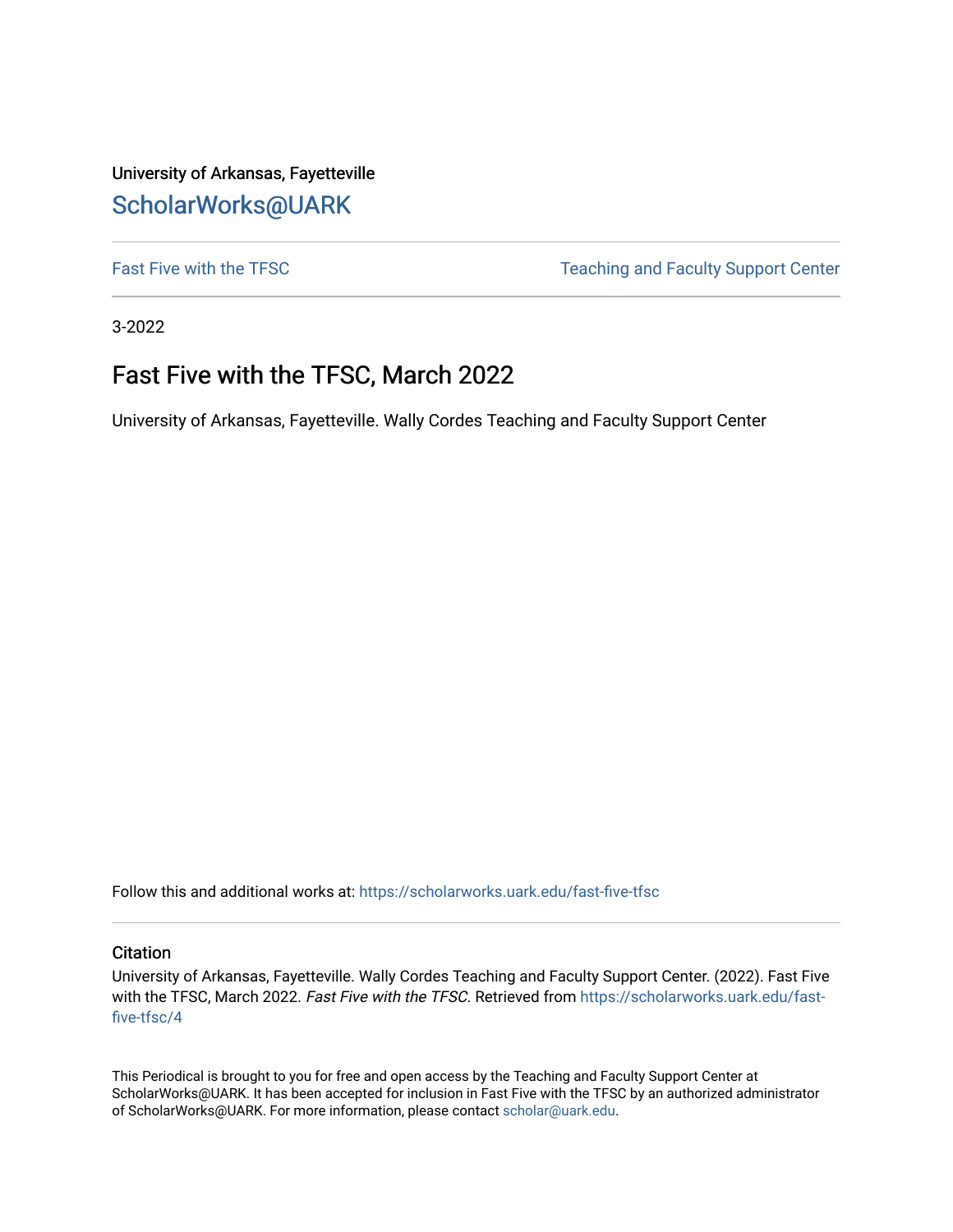University of Arkansas, Fayetteville [ScholarWorks@UARK](https://scholarworks.uark.edu/) 

[Fast Five with the TFSC](https://scholarworks.uark.edu/fast-five-tfsc) Teaching and Faculty Support Center

3-2022

## Fast Five with the TFSC, March 2022

University of Arkansas, Fayetteville. Wally Cordes Teaching and Faculty Support Center

Follow this and additional works at: [https://scholarworks.uark.edu/fast-five-tfsc](https://scholarworks.uark.edu/fast-five-tfsc?utm_source=scholarworks.uark.edu%2Ffast-five-tfsc%2F4&utm_medium=PDF&utm_campaign=PDFCoverPages) 

## **Citation**

University of Arkansas, Fayetteville. Wally Cordes Teaching and Faculty Support Center. (2022). Fast Five with the TFSC, March 2022. Fast Five with the TFSC. Retrieved from [https://scholarworks.uark.edu/fast](https://scholarworks.uark.edu/fast-five-tfsc/4?utm_source=scholarworks.uark.edu%2Ffast-five-tfsc%2F4&utm_medium=PDF&utm_campaign=PDFCoverPages)[five-tfsc/4](https://scholarworks.uark.edu/fast-five-tfsc/4?utm_source=scholarworks.uark.edu%2Ffast-five-tfsc%2F4&utm_medium=PDF&utm_campaign=PDFCoverPages)

This Periodical is brought to you for free and open access by the Teaching and Faculty Support Center at ScholarWorks@UARK. It has been accepted for inclusion in Fast Five with the TFSC by an authorized administrator of ScholarWorks@UARK. For more information, please contact [scholar@uark.edu.](mailto:scholar@uark.edu)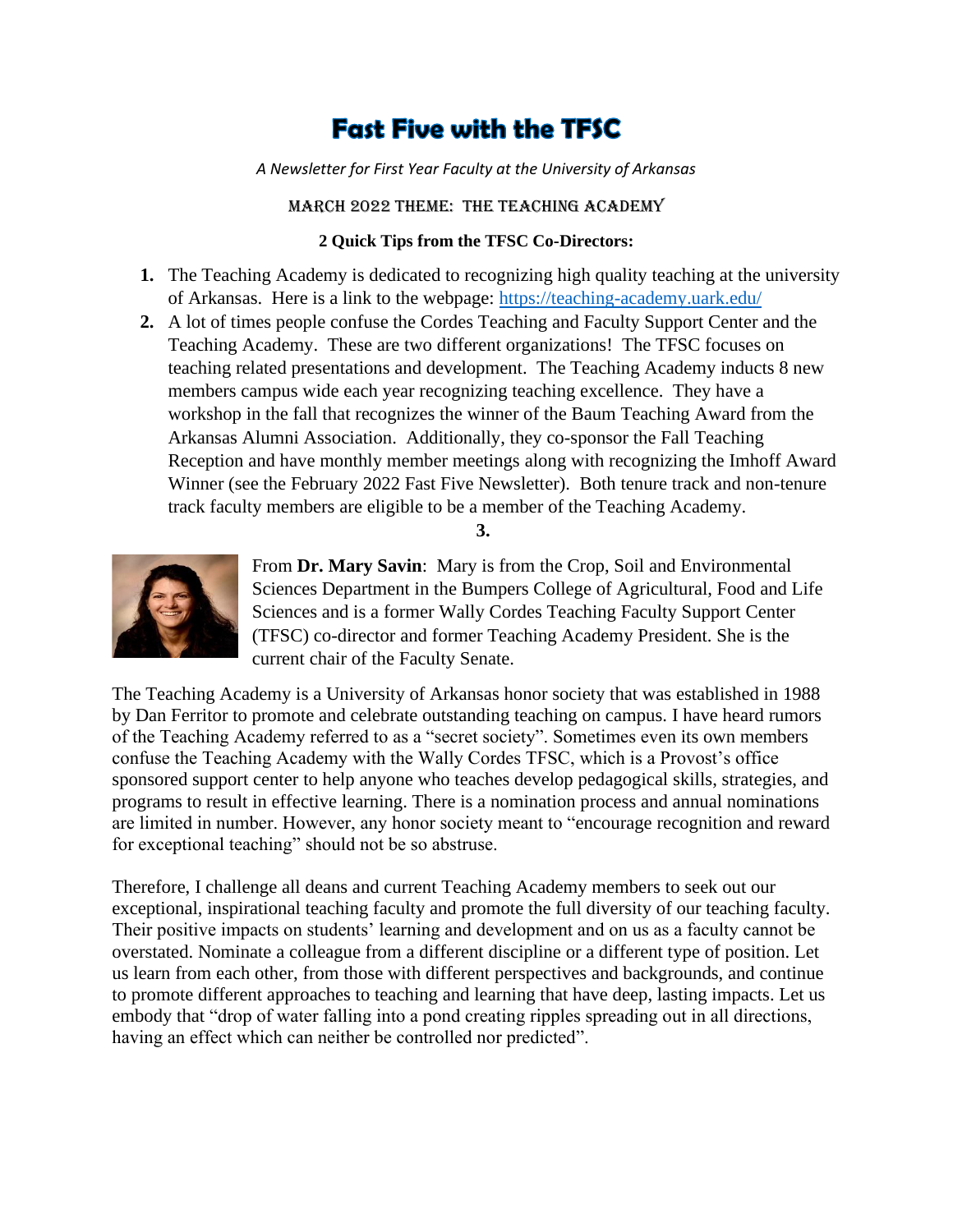## **Fast Five with the TFSC**

*A Newsletter for First Year Faculty at the University of Arkansas*

march 2022 Theme: The Teaching Academy

## **2 Quick Tips from the TFSC Co-Directors:**

- **1.** The Teaching Academy is dedicated to recognizing high quality teaching at the university of Arkansas. Here is a link to the webpage:<https://teaching-academy.uark.edu/>
- **2.** A lot of times people confuse the Cordes Teaching and Faculty Support Center and the Teaching Academy. These are two different organizations! The TFSC focuses on teaching related presentations and development. The Teaching Academy inducts 8 new members campus wide each year recognizing teaching excellence. They have a workshop in the fall that recognizes the winner of the Baum Teaching Award from the Arkansas Alumni Association. Additionally, they co-sponsor the Fall Teaching Reception and have monthly member meetings along with recognizing the Imhoff Award Winner (see the February 2022 Fast Five Newsletter). Both tenure track and non-tenure track faculty members are eligible to be a member of the Teaching Academy.

**3.**



From **Dr. Mary Savin**: Mary is from the Crop, Soil and Environmental Sciences Department in the Bumpers College of Agricultural, Food and Life Sciences and is a former Wally Cordes Teaching Faculty Support Center (TFSC) co-director and former Teaching Academy President. She is the current chair of the Faculty Senate.

The Teaching Academy is a University of Arkansas honor society that was established in 1988 by Dan Ferritor to promote and celebrate outstanding teaching on campus. I have heard rumors of the Teaching Academy referred to as a "secret society". Sometimes even its own members confuse the Teaching Academy with the Wally Cordes TFSC, which is a Provost's office sponsored support center to help anyone who teaches develop pedagogical skills, strategies, and programs to result in effective learning. There is a nomination process and annual nominations are limited in number. However, any honor society meant to "encourage recognition and reward for exceptional teaching" should not be so abstruse.

Therefore, I challenge all deans and current Teaching Academy members to seek out our exceptional, inspirational teaching faculty and promote the full diversity of our teaching faculty. Their positive impacts on students' learning and development and on us as a faculty cannot be overstated. Nominate a colleague from a different discipline or a different type of position. Let us learn from each other, from those with different perspectives and backgrounds, and continue to promote different approaches to teaching and learning that have deep, lasting impacts. Let us embody that "drop of water falling into a pond creating ripples spreading out in all directions, having an effect which can neither be controlled nor predicted".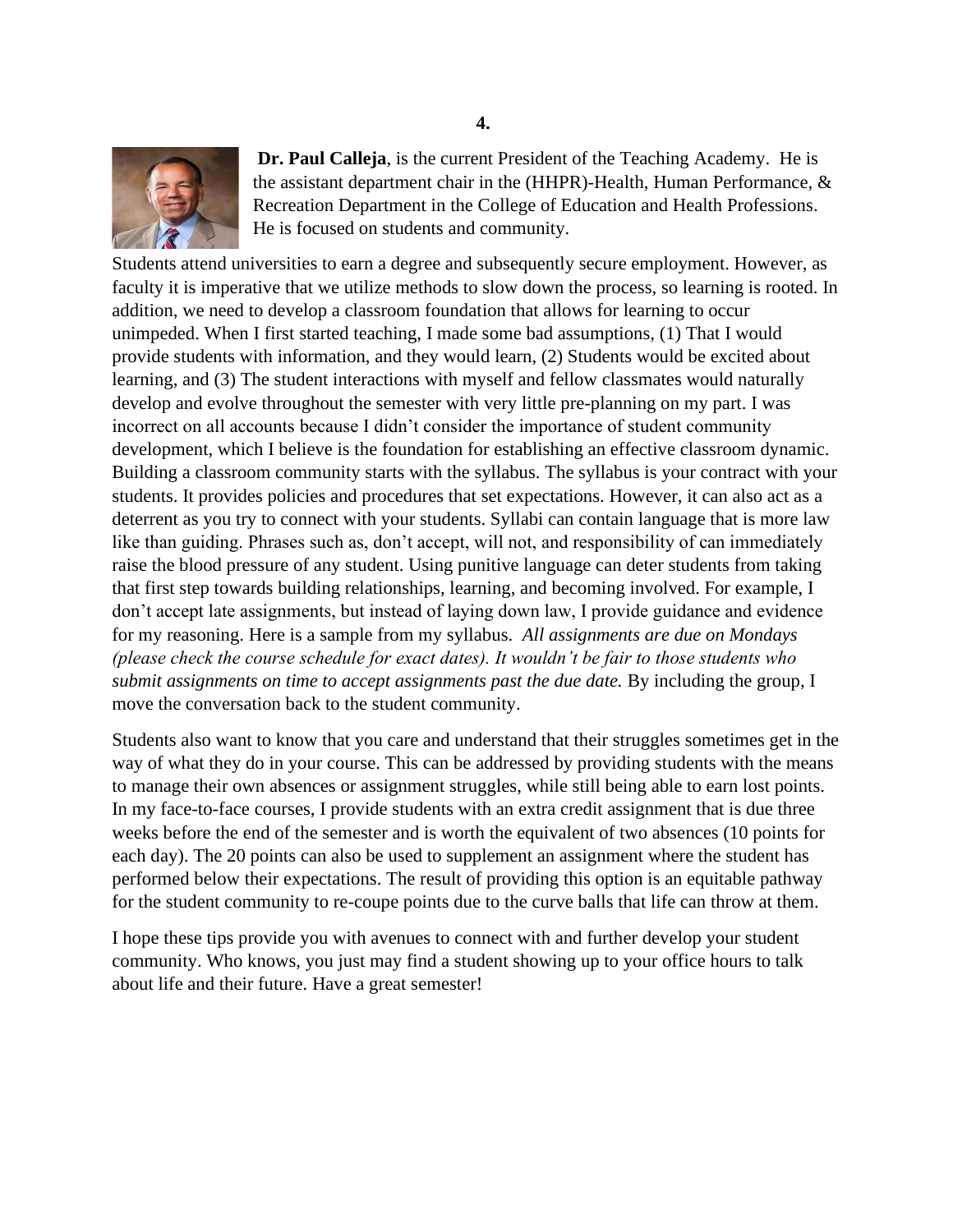

**Dr. Paul Calleja**, is the current President of the Teaching Academy. He is the assistant department chair in the (HHPR)-Health, Human Performance, & Recreation Department in the College of Education and Health Professions. He is focused on students and community.

Students attend universities to earn a degree and subsequently secure employment. However, as faculty it is imperative that we utilize methods to slow down the process, so learning is rooted. In addition, we need to develop a classroom foundation that allows for learning to occur unimpeded. When I first started teaching, I made some bad assumptions, (1) That I would provide students with information, and they would learn, (2) Students would be excited about learning, and (3) The student interactions with myself and fellow classmates would naturally develop and evolve throughout the semester with very little pre-planning on my part. I was incorrect on all accounts because I didn't consider the importance of student community development, which I believe is the foundation for establishing an effective classroom dynamic. Building a classroom community starts with the syllabus. The syllabus is your contract with your students. It provides policies and procedures that set expectations. However, it can also act as a deterrent as you try to connect with your students. Syllabi can contain language that is more law like than guiding. Phrases such as, don't accept, will not, and responsibility of can immediately raise the blood pressure of any student. Using punitive language can deter students from taking that first step towards building relationships, learning, and becoming involved. For example, I don't accept late assignments, but instead of laying down law, I provide guidance and evidence for my reasoning. Here is a sample from my syllabus. *All assignments are due on Mondays (please check the course schedule for exact dates). It wouldn't be fair to those students who submit assignments on time to accept assignments past the due date.* By including the group, I move the conversation back to the student community.

Students also want to know that you care and understand that their struggles sometimes get in the way of what they do in your course. This can be addressed by providing students with the means to manage their own absences or assignment struggles, while still being able to earn lost points. In my face-to-face courses, I provide students with an extra credit assignment that is due three weeks before the end of the semester and is worth the equivalent of two absences (10 points for each day). The 20 points can also be used to supplement an assignment where the student has performed below their expectations. The result of providing this option is an equitable pathway for the student community to re-coupe points due to the curve balls that life can throw at them.

I hope these tips provide you with avenues to connect with and further develop your student community. Who knows, you just may find a student showing up to your office hours to talk about life and their future. Have a great semester!